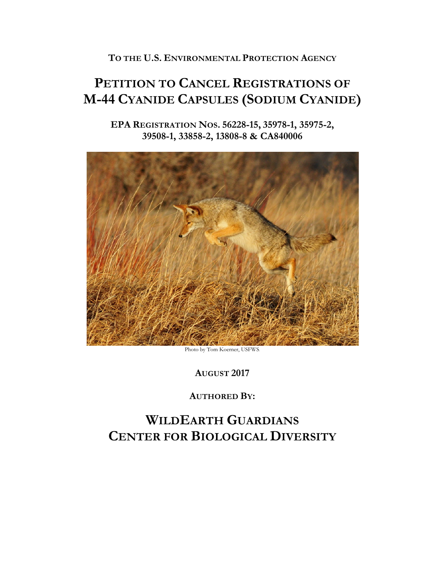**TO THE U.S. ENVIRONMENTAL PROTECTION AGENCY** 

# **PETITION TO CANCEL REGISTRATIONS OF M-44 CYANIDE CAPSULES (SODIUM CYANIDE)**

**EPA REGISTRATION NOS. 56228-15, 35978-1, 35975-2, 39508-1, 33858-2, 13808-8 & CA840006**



Photo by Tom Koerner, USFWS.

**AUGUST 2017**

**AUTHORED BY:**

## **WILDEARTH GUARDIANS CENTER FOR BIOLOGICAL DIVERSITY**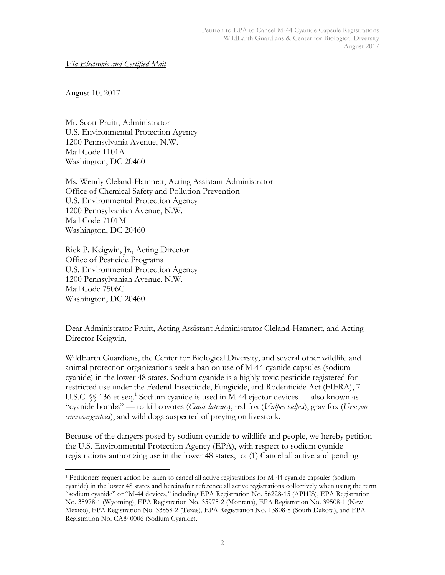### *Via Electronic and Certified Mail*

August 10, 2017

Mr. Scott Pruitt, Administrator U.S. Environmental Protection Agency 1200 Pennsylvania Avenue, N.W. Mail Code 1101A Washington, DC 20460

Ms. Wendy Cleland-Hamnett, Acting Assistant Administrator Office of Chemical Safety and Pollution Prevention U.S. Environmental Protection Agency 1200 Pennsylvanian Avenue, N.W. Mail Code 7101M Washington, DC 20460

Rick P. Keigwin, Jr., Acting Director Office of Pesticide Programs U.S. Environmental Protection Agency 1200 Pennsylvanian Avenue, N.W. Mail Code 7506C Washington, DC 20460

Dear Administrator Pruitt, Acting Assistant Administrator Cleland-Hamnett, and Acting Director Keigwin,

WildEarth Guardians, the Center for Biological Diversity, and several other wildlife and animal protection organizations seek a ban on use of M-44 cyanide capsules (sodium cyanide) in the lower 48 states. Sodium cyanide is a highly toxic pesticide registered for restricted use under the Federal Insecticide, Fungicide, and Rodenticide Act (FIFRA), 7 U.S.C.  $\frac{1}{3}$  136 et seq.<sup>1</sup> Sodium cyanide is used in M-44 ejector devices — also known as "cyanide bombs" –– to kill coyotes (*Canis latrans*), red fox (*Vulpes vulpes*), gray fox (*Urocyon cinereoargenteus*), and wild dogs suspected of preying on livestock.

Because of the dangers posed by sodium cyanide to wildlife and people, we hereby petition the U.S. Environmental Protection Agency (EPA), with respect to sodium cyanide registrations authorizing use in the lower 48 states, to: (1) Cancel all active and pending

 <sup>1</sup> Petitioners request action be taken to cancel all active registrations for M-44 cyanide capsules (sodium cyanide) in the lower 48 states and hereinafter reference all active registrations collectively when using the term "sodium cyanide" or "M-44 devices," including EPA Registration No. 56228-15 (APHIS), EPA Registration No. 35978-1 (Wyoming), EPA Registration No. 35975-2 (Montana), EPA Registration No. 39508-1 (New Mexico), EPA Registration No. 33858-2 (Texas), EPA Registration No. 13808-8 (South Dakota), and EPA Registration No. CA840006 (Sodium Cyanide).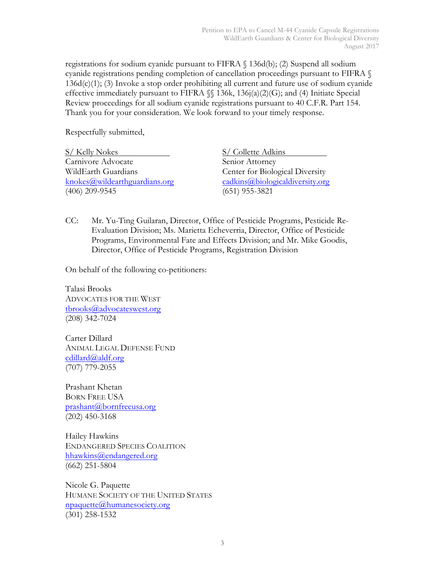registrations for sodium cyanide pursuant to FIFRA § 136d(b); (2) Suspend all sodium cyanide registrations pending completion of cancellation proceedings pursuant to FIFRA § 136d(c)(1); (3) Invoke a stop order prohibiting all current and future use of sodium cyanide effective immediately pursuant to FIFRA §§ 136k, 136j(a)(2)(G); and (4) Initiate Special Review proceedings for all sodium cyanide registrations pursuant to 40 C.F.R. Part 154. Thank you for your consideration. We look forward to your timely response.

Respectfully submitted,

S/ Kelly Nokes S/ Collette Adkins Carnivore Advocate Senior Attorney WildEarth Guardians **Center for Biological Diversity** knokes@wildearthguardians.org cadkins@biologicaldiversity.org (406) 209-9545 (651) 955-3821

CC: Mr. Yu-Ting Guilaran, Director, Office of Pesticide Programs, Pesticide Re-Evaluation Division; Ms. Marietta Echeverria, Director, Office of Pesticide Programs, Environmental Fate and Effects Division; and Mr. Mike Goodis, Director, Office of Pesticide Programs, Registration Division

On behalf of the following co-petitioners:

Talasi Brooks ADVOCATES FOR THE WEST tbrooks@advocateswest.org (208) 342-7024

Carter Dillard ANIMAL LEGAL DEFENSE FUND cdillard@aldf.org (707) 779-2055

Prashant Khetan BORN FREE USA prashant@bornfreeusa.org (202) 450-3168

Hailey Hawkins ENDANGERED SPECIES COALITION hhawkins@endangered.org (662) 251-5804

Nicole G. Paquette HUMANE SOCIETY OF THE UNITED STATES npaquette@humanesociety.org (301) 258-1532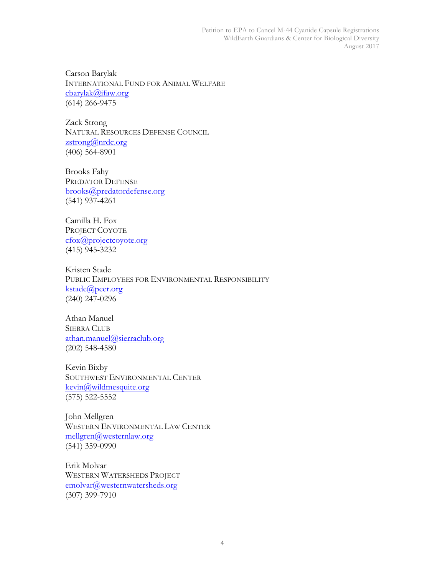Carson Barylak INTERNATIONAL FUND FOR ANIMAL WELFARE cbarylak@ifaw.org (614) 266-9475

Zack Strong NATURAL RESOURCES DEFENSE COUNCIL zstrong@nrdc.org (406) 564-8901

Brooks Fahy PREDATOR DEFENSE brooks@predatordefense.org (541) 937-4261

Camilla H. Fox PROJECT COYOTE cfox@projectcoyote.org (415) 945-3232

Kristen Stade PUBLIC EMPLOYEES FOR ENVIRONMENTAL RESPONSIBILITY kstade@peer.org (240) 247-0296

Athan Manuel SIERRA CLUB athan.manuel@sierraclub.org (202) 548-4580

Kevin Bixby SOUTHWEST ENVIRONMENTAL CENTER kevin@wildmesquite.org (575) 522-5552

John Mellgren WESTERN ENVIRONMENTAL LAW CENTER mellgren@westernlaw.org (541) 359-0990

Erik Molvar WESTERN WATERSHEDS PROJECT emolvar@westernwatersheds.org (307) 399-7910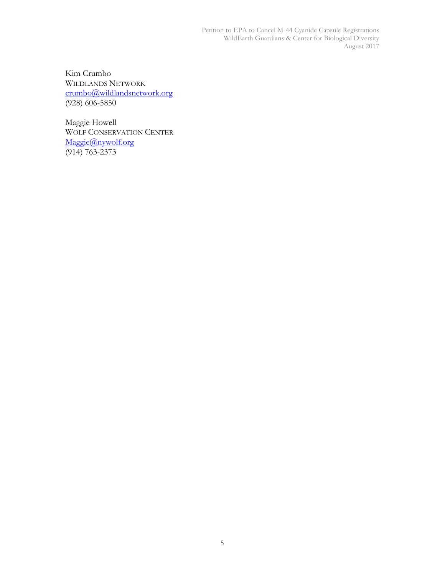Petition to EPA to Cancel M-44 Cyanide Capsule Registrations WildEarth Guardians & Center for Biological Diversity August 2017

Kim Crumbo WILDLANDS NETWORK crumbo@wildlandsnetwork.org (928) 606-5850

Maggie Howell WOLF CONSERVATION CENTER Maggie@nywolf.org  $(914) 763 - 2373$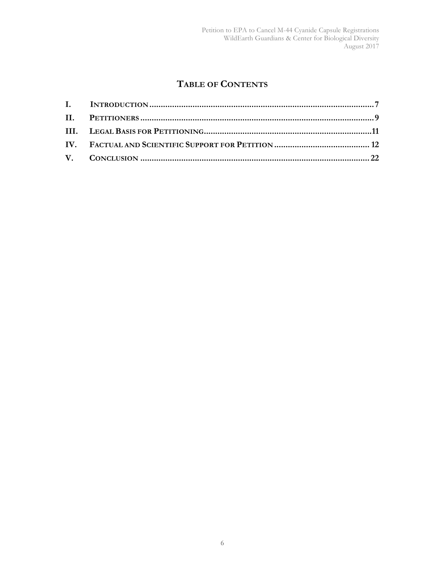## **TABLE OF CONTENTS**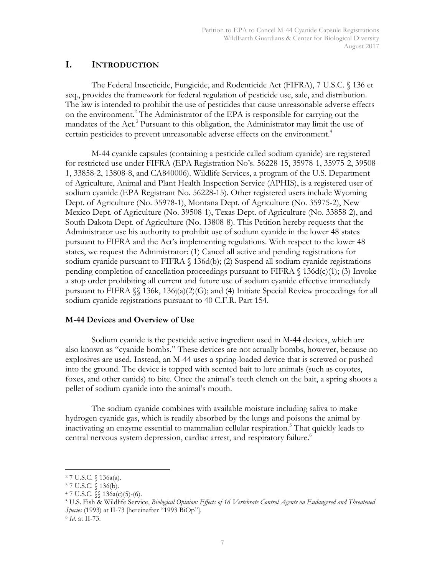## **I. INTRODUCTION**

The Federal Insecticide, Fungicide, and Rodenticide Act (FIFRA), 7 U.S.C. § 136 et seq., provides the framework for federal regulation of pesticide use, sale, and distribution. The law is intended to prohibit the use of pesticides that cause unreasonable adverse effects on the environment.<sup>2</sup> The Administrator of the EPA is responsible for carrying out the mandates of the Act.<sup>3</sup> Pursuant to this obligation, the Administrator may limit the use of certain pesticides to prevent unreasonable adverse effects on the environment.<sup>4</sup>

M-44 cyanide capsules (containing a pesticide called sodium cyanide) are registered for restricted use under FIFRA (EPA Registration No's. 56228-15, 35978-1, 35975-2, 39508- 1, 33858-2, 13808-8, and CA840006). Wildlife Services, a program of the U.S. Department of Agriculture, Animal and Plant Health Inspection Service (APHIS), is a registered user of sodium cyanide (EPA Registrant No. 56228-15). Other registered users include Wyoming Dept. of Agriculture (No. 35978-1), Montana Dept. of Agriculture (No. 35975-2), New Mexico Dept. of Agriculture (No. 39508-1), Texas Dept. of Agriculture (No. 33858-2), and South Dakota Dept. of Agriculture (No. 13808-8). This Petition hereby requests that the Administrator use his authority to prohibit use of sodium cyanide in the lower 48 states pursuant to FIFRA and the Act's implementing regulations. With respect to the lower 48 states, we request the Administrator: (1) Cancel all active and pending registrations for sodium cyanide pursuant to FIFRA § 136d(b); (2) Suspend all sodium cyanide registrations pending completion of cancellation proceedings pursuant to FIFRA § 136d(c)(1); (3) Invoke a stop order prohibiting all current and future use of sodium cyanide effective immediately pursuant to FIFRA  $\mathcal{S}$  136k, 136j(a)(2)(G); and (4) Initiate Special Review proceedings for all sodium cyanide registrations pursuant to 40 C.F.R. Part 154.

## **M-44 Devices and Overview of Use**

Sodium cyanide is the pesticide active ingredient used in M-44 devices, which are also known as "cyanide bombs." These devices are not actually bombs, however, because no explosives are used. Instead, an M-44 uses a spring-loaded device that is screwed or pushed into the ground. The device is topped with scented bait to lure animals (such as coyotes, foxes, and other canids) to bite. Once the animal's teeth clench on the bait, a spring shoots a pellet of sodium cyanide into the animal's mouth.

The sodium cyanide combines with available moisture including saliva to make hydrogen cyanide gas, which is readily absorbed by the lungs and poisons the animal by inactivating an enzyme essential to mammalian cellular respiration.5 That quickly leads to central nervous system depression, cardiac arrest, and respiratory failure.<sup>6</sup>

 <sup>2</sup> 7 U.S.C. § 136a(a).

<sup>3</sup> 7 U.S.C. § 136(b).

 $47 \text{ U.S.C. }$  §§  $136a(c)(5)-(6)$ .

<sup>5</sup> U.S. Fish & Wildlife Service, *Biological Opinion: Effects of 16 Vertebrate Control Agents on Endangered and Threatened Species* (1993) at II-73 [hereinafter "1993 BiOp"].

<sup>6</sup> *Id*. at II-73.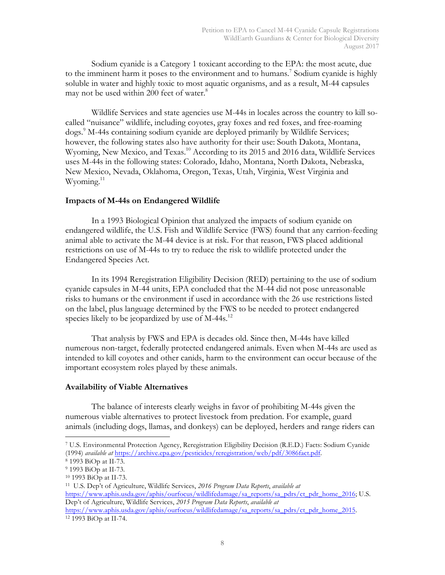Sodium cyanide is a Category 1 toxicant according to the EPA: the most acute, due to the imminent harm it poses to the environment and to humans.<sup>7</sup> Sodium cyanide is highly soluble in water and highly toxic to most aquatic organisms, and as a result, M-44 capsules may not be used within 200 feet of water.<sup>8</sup>

Wildlife Services and state agencies use M-44s in locales across the country to kill socalled "nuisance" wildlife, including coyotes, gray foxes and red foxes, and free-roaming dogs. <sup>9</sup> M-44s containing sodium cyanide are deployed primarily by Wildlife Services; however, the following states also have authority for their use: South Dakota, Montana, Wyoming, New Mexico, and Texas.<sup>10</sup> According to its 2015 and 2016 data, Wildlife Services uses M-44s in the following states: Colorado, Idaho, Montana, North Dakota, Nebraska, New Mexico, Nevada, Oklahoma, Oregon, Texas, Utah, Virginia, West Virginia and  $W$ yoming. $^{11}$ 

#### **Impacts of M-44s on Endangered Wildlife**

In a 1993 Biological Opinion that analyzed the impacts of sodium cyanide on endangered wildlife, the U.S. Fish and Wildlife Service (FWS) found that any carrion-feeding animal able to activate the M-44 device is at risk. For that reason, FWS placed additional restrictions on use of M-44s to try to reduce the risk to wildlife protected under the Endangered Species Act.

In its 1994 Reregistration Eligibility Decision (RED) pertaining to the use of sodium cyanide capsules in M-44 units, EPA concluded that the M-44 did not pose unreasonable risks to humans or the environment if used in accordance with the 26 use restrictions listed on the label, plus language determined by the FWS to be needed to protect endangered species likely to be jeopardized by use of M-44s.<sup>12</sup>

That analysis by FWS and EPA is decades old. Since then, M-44s have killed numerous non-target, federally protected endangered animals. Even when M-44s are used as intended to kill coyotes and other canids, harm to the environment can occur because of the important ecosystem roles played by these animals.

#### **Availability of Viable Alternatives**

The balance of interests clearly weighs in favor of prohibiting M-44s given the numerous viable alternatives to protect livestock from predation. For example, guard animals (including dogs, llamas, and donkeys) can be deployed, herders and range riders can

 <sup>7</sup> U.S. Environmental Protection Agency, Reregistration Eligibility Decision (R.E.D.) Facts: Sodium Cyanide (1994) *available at* https://archive.epa.gov/pesticides/reregistration/web/pdf/3086fact.pdf.

<sup>8</sup> 1993 BiOp at II-73.

<sup>9</sup> 1993 BiOp at II-73.

<sup>10</sup> 1993 BiOp at II-73.

<sup>11</sup> U.S. Dep't of Agriculture, Wildlife Services, *2016 Program Data Reports*, *available at* https://www.aphis.usda.gov/aphis/ourfocus/wildlifedamage/sa\_reports/sa\_pdrs/ct\_pdr\_home\_2016; U.S. Dep't of Agriculture, Wildlife Services, *2015 Program Data Reports*, *available at* https://www.aphis.usda.gov/aphis/ourfocus/wildlifedamage/sa\_reports/sa\_pdrs/ct\_pdr\_home\_2015.

<sup>12</sup> 1993 BiOp at II-74.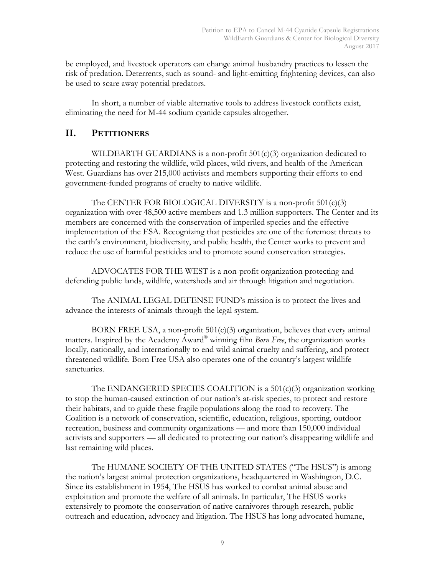be employed, and livestock operators can change animal husbandry practices to lessen the risk of predation. Deterrents, such as sound- and light-emitting frightening devices, can also be used to scare away potential predators.

In short, a number of viable alternative tools to address livestock conflicts exist, eliminating the need for M-44 sodium cyanide capsules altogether.

## **II. PETITIONERS**

WILDEARTH GUARDIANS is a non-profit  $501(c)(3)$  organization dedicated to protecting and restoring the wildlife, wild places, wild rivers, and health of the American West. Guardians has over 215,000 activists and members supporting their efforts to end government-funded programs of cruelty to native wildlife.

The CENTER FOR BIOLOGICAL DIVERSITY is a non-profit 501(c)(3) organization with over 48,500 active members and 1.3 million supporters. The Center and its members are concerned with the conservation of imperiled species and the effective implementation of the ESA. Recognizing that pesticides are one of the foremost threats to the earth's environment, biodiversity, and public health, the Center works to prevent and reduce the use of harmful pesticides and to promote sound conservation strategies.

ADVOCATES FOR THE WEST is a non-profit organization protecting and defending public lands, wildlife, watersheds and air through litigation and negotiation.

The ANIMAL LEGAL DEFENSE FUND's mission is to protect the lives and advance the interests of animals through the legal system.

BORN FREE USA, a non-profit  $501(c)(3)$  organization, believes that every animal matters. Inspired by the Academy Award® winning film *Born Free*, the organization works locally, nationally, and internationally to end wild animal cruelty and suffering, and protect threatened wildlife. Born Free USA also operates one of the country's largest wildlife sanctuaries.

The ENDANGERED SPECIES COALITION is a  $501(c)(3)$  organization working to stop the human-caused extinction of our nation's at-risk species, to protect and restore their habitats, and to guide these fragile populations along the road to recovery. The Coalition is a network of conservation, scientific, education, religious, sporting, outdoor recreation, business and community organizations — and more than 150,000 individual activists and supporters –– all dedicated to protecting our nation's disappearing wildlife and last remaining wild places.

The HUMANE SOCIETY OF THE UNITED STATES ("The HSUS") is among the nation's largest animal protection organizations, headquartered in Washington, D.C. Since its establishment in 1954, The HSUS has worked to combat animal abuse and exploitation and promote the welfare of all animals. In particular, The HSUS works extensively to promote the conservation of native carnivores through research, public outreach and education, advocacy and litigation. The HSUS has long advocated humane,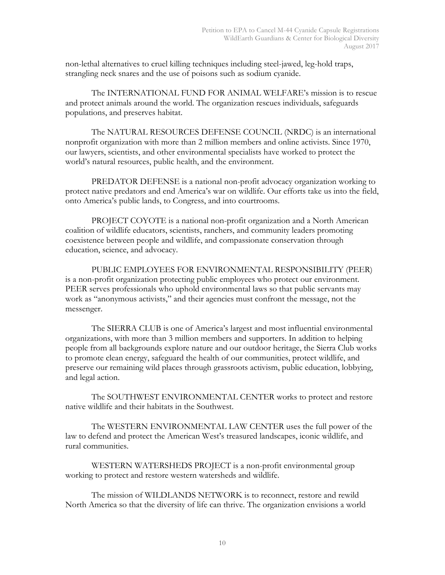non-lethal alternatives to cruel killing techniques including steel-jawed, leg-hold traps, strangling neck snares and the use of poisons such as sodium cyanide.

The INTERNATIONAL FUND FOR ANIMAL WELFARE's mission is to rescue and protect animals around the world. The organization rescues individuals, safeguards populations, and preserves habitat.

The NATURAL RESOURCES DEFENSE COUNCIL (NRDC) is an international nonprofit organization with more than 2 million members and online activists. Since 1970, our lawyers, scientists, and other environmental specialists have worked to protect the world's natural resources, public health, and the environment.

PREDATOR DEFENSE is a national non-profit advocacy organization working to protect native predators and end America's war on wildlife. Our efforts take us into the field, onto America's public lands, to Congress, and into courtrooms.

PROJECT COYOTE is a national non-profit organization and a North American coalition of wildlife educators, scientists, ranchers, and community leaders promoting coexistence between people and wildlife, and compassionate conservation through education, science, and advocacy.

PUBLIC EMPLOYEES FOR ENVIRONMENTAL RESPONSIBILITY (PEER) is a non-profit organization protecting public employees who protect our environment. PEER serves professionals who uphold environmental laws so that public servants may work as "anonymous activists," and their agencies must confront the message, not the messenger.

The SIERRA CLUB is one of America's largest and most influential environmental organizations, with more than 3 million members and supporters. In addition to helping people from all backgrounds explore nature and our outdoor heritage, the Sierra Club works to promote clean energy, safeguard the health of our communities, protect wildlife, and preserve our remaining wild places through grassroots activism, public education, lobbying, and legal action.

The SOUTHWEST ENVIRONMENTAL CENTER works to protect and restore native wildlife and their habitats in the Southwest.

The WESTERN ENVIRONMENTAL LAW CENTER uses the full power of the law to defend and protect the American West's treasured landscapes, iconic wildlife, and rural communities.

WESTERN WATERSHEDS PROJECT is a non-profit environmental group working to protect and restore western watersheds and wildlife.

The mission of WILDLANDS NETWORK is to reconnect, restore and rewild North America so that the diversity of life can thrive. The organization envisions a world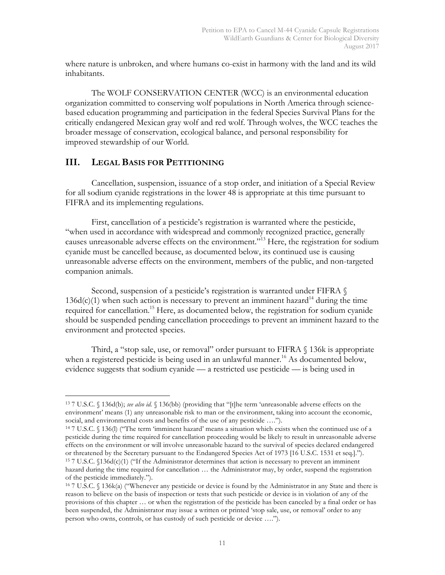where nature is unbroken, and where humans co-exist in harmony with the land and its wild inhabitants.

The WOLF CONSERVATION CENTER (WCC) is an environmental education organization committed to conserving wolf populations in North America through sciencebased education programming and participation in the federal Species Survival Plans for the critically endangered Mexican gray wolf and red wolf. Through wolves, the WCC teaches the broader message of conservation, ecological balance, and personal responsibility for improved stewardship of our World.

## **III. LEGAL BASIS FOR PETITIONING**

Cancellation, suspension, issuance of a stop order, and initiation of a Special Review for all sodium cyanide registrations in the lower 48 is appropriate at this time pursuant to FIFRA and its implementing regulations.

First, cancellation of a pesticide's registration is warranted where the pesticide, "when used in accordance with widespread and commonly recognized practice, generally causes unreasonable adverse effects on the environment."13 Here, the registration for sodium cyanide must be cancelled because, as documented below, its continued use is causing unreasonable adverse effects on the environment, members of the public, and non-targeted companion animals.

Second, suspension of a pesticide's registration is warranted under FIFRA §  $136d(c)(1)$  when such action is necessary to prevent an imminent hazard<sup>14</sup> during the time required for cancellation.<sup>15</sup> Here, as documented below, the registration for sodium cyanide should be suspended pending cancellation proceedings to prevent an imminent hazard to the environment and protected species.

Third, a "stop sale, use, or removal" order pursuant to FIFRA  $\S$  136k is appropriate when a registered pesticide is being used in an unlawful manner.<sup>16</sup> As documented below, evidence suggests that sodium cyanide –– a restricted use pesticide –– is being used in

 <sup>13</sup> 7 U.S.C. § 136d(b); *see also id.* § 136(bb) (providing that "[t]he term 'unreasonable adverse effects on the environment' means (1) any unreasonable risk to man or the environment, taking into account the economic, social, and environmental costs and benefits of the use of any pesticide ….").

<sup>14</sup> 7 U.S.C. § 136(l) ("The term 'imminent hazard' means a situation which exists when the continued use of a pesticide during the time required for cancellation proceeding would be likely to result in unreasonable adverse effects on the environment or will involve unreasonable hazard to the survival of species declared endangered or threatened by the Secretary pursuant to the Endangered Species Act of 1973 [16 U.S.C. 1531 et seq.]."). <sup>15</sup> 7 U.S.C. §136d(c)(1) ("If the Administrator determines that action is necessary to prevent an imminent hazard during the time required for cancellation … the Administrator may, by order, suspend the registration of the pesticide immediately.").

<sup>16</sup> 7 U.S.C. § 136k(a) ("Whenever any pesticide or device is found by the Administrator in any State and there is reason to believe on the basis of inspection or tests that such pesticide or device is in violation of any of the provisions of this chapter … or when the registration of the pesticide has been canceled by a final order or has been suspended, the Administrator may issue a written or printed 'stop sale, use, or removal' order to any person who owns, controls, or has custody of such pesticide or device ….").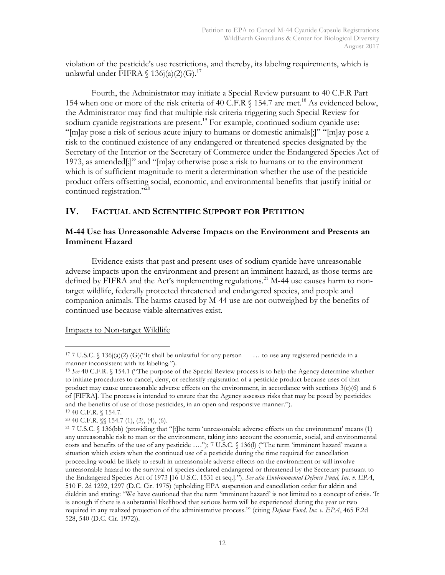violation of the pesticide's use restrictions, and thereby, its labeling requirements, which is unlawful under FIFRA  $\{ 136j(a)(2)(G).^{17} \}$ 

Fourth, the Administrator may initiate a Special Review pursuant to 40 C.F.R Part 154 when one or more of the risk criteria of 40 C.F.R  $\S$  154.7 are met.<sup>18</sup> As evidenced below, the Administrator may find that multiple risk criteria triggering such Special Review for sodium cyanide registrations are present.<sup>19</sup> For example, continued sodium cyanide use: "[m]ay pose a risk of serious acute injury to humans or domestic animals[;]" "[m]ay pose a risk to the continued existence of any endangered or threatened species designated by the Secretary of the Interior or the Secretary of Commerce under the Endangered Species Act of 1973, as amended[;]" and "[m]ay otherwise pose a risk to humans or to the environment which is of sufficient magnitude to merit a determination whether the use of the pesticide product offers offsetting social, economic, and environmental benefits that justify initial or continued registration."<sup>20</sup>

## **IV. FACTUAL AND SCIENTIFIC SUPPORT FOR PETITION**

## **M-44 Use has Unreasonable Adverse Impacts on the Environment and Presents an Imminent Hazard**

Evidence exists that past and present uses of sodium cyanide have unreasonable adverse impacts upon the environment and present an imminent hazard, as those terms are defined by FIFRA and the Act's implementing regulations.<sup>21</sup> M-44 use causes harm to nontarget wildlife, federally protected threatened and endangered species, and people and companion animals. The harms caused by M-44 use are not outweighed by the benefits of continued use because viable alternatives exist.

Impacts to Non-target Wildlife

<sup>19</sup> 40 C.F.R. § 154.7.

 $20\,40$  C.F.R.  $\mathcal{S}\$  154.7 (1), (3), (4), (6).

<sup>&</sup>lt;sup>17</sup> 7 U.S.C. § 136j(a)(2) (G)("It shall be unlawful for any person — ... to use any registered pesticide in a manner inconsistent with its labeling.").

<sup>18</sup> *See* 40 C.F.R. § 154.1 ("The purpose of the Special Review process is to help the Agency determine whether to initiate procedures to cancel, deny, or reclassify registration of a pesticide product because uses of that product may cause unreasonable adverse effects on the environment, in accordance with sections  $3(c)(6)$  and 6 of [FIFRA]. The process is intended to ensure that the Agency assesses risks that may be posed by pesticides and the benefits of use of those pesticides, in an open and responsive manner.").

<sup>&</sup>lt;sup>21</sup> 7 U.S.C.  $\sqrt{136}$ (bb) (providing that "[t]he term 'unreasonable adverse effects on the environment' means (1) any unreasonable risk to man or the environment, taking into account the economic, social, and environmental costs and benefits of the use of any pesticide ...."); 7 U.S.C. § 136(l) ("The term 'imminent hazard' means a situation which exists when the continued use of a pesticide during the time required for cancellation proceeding would be likely to result in unreasonable adverse effects on the environment or will involve unreasonable hazard to the survival of species declared endangered or threatened by the Secretary pursuant to the Endangered Species Act of 1973 [16 U.S.C. 1531 et seq.]."). *See also Environmental Defense Fund, Inc. v. EPA*, 510 F. 2d 1292, 1297 (D.C. Cir. 1975) (upholding EPA suspension and cancellation order for aldrin and dieldrin and stating: "We have cautioned that the term 'imminent hazard' is not limited to a concept of crisis. 'It is enough if there is a substantial likelihood that serious harm will be experienced during the year or two required in any realized projection of the administrative process.'" (citing *Defense Fund, Inc. v. EPA*, 465 F.2d 528, 540 (D.C. Cir. 1972)).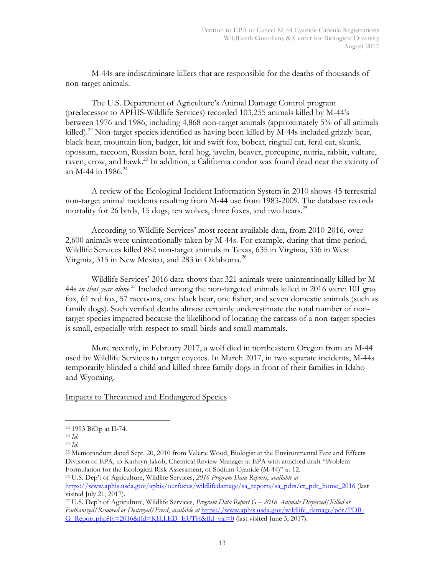M-44s are indiscriminate killers that are responsible for the deaths of thousands of non-target animals.

The U.S. Department of Agriculture's Animal Damage Control program (predecessor to APHIS-Wildlife Services) recorded 103,255 animals killed by M-44's between 1976 and 1986, including 4,868 non-target animals (approximately 5% of all animals killed).<sup>22</sup> Non-target species identified as having been killed by M-44s included grizzly bear, black bear, mountain lion, badger, kit and swift fox, bobcat, ringtail cat, feral cat, skunk, opossum, raccoon, Russian boar, feral hog, javelin, beaver, porcupine, nutria, rabbit, vulture, raven, crow, and hawk.<sup>23</sup> In addition, a California condor was found dead near the vicinity of an M-44 in 1986.<sup>24</sup>

A review of the Ecological Incident Information System in 2010 shows 45 terrestrial non-target animal incidents resulting from M-44 use from 1983-2009. The database records mortality for 26 birds, 15 dogs, ten wolves, three foxes, and two bears.<sup>25</sup>

According to Wildlife Services' most recent available data, from 2010-2016, over 2,600 animals were unintentionally taken by M-44s. For example, during that time period, Wildlife Services killed 882 non-target animals in Texas, 635 in Virginia, 336 in West Virginia, 315 in New Mexico, and 283 in Oklahoma.<sup>26</sup>

Wildlife Services' 2016 data shows that 321 animals were unintentionally killed by M-44s *in that year alone*. <sup>27</sup> Included among the non-targeted animals killed in 2016 were: 101 gray fox, 61 red fox, 57 raccoons, one black bear, one fisher, and seven domestic animals (such as family dogs). Such verified deaths almost certainly underestimate the total number of nontarget species impacted because the likelihood of locating the carcass of a non-target species is small, especially with respect to small birds and small mammals.

More recently, in February 2017, a wolf died in northeastern Oregon from an M-44 used by Wildlife Services to target coyotes. In March 2017, in two separate incidents, M-44s temporarily blinded a child and killed three family dogs in front of their families in Idaho and Wyoming.

Impacts to Threatened and Endangered Species

<sup>26</sup> U.S. Dep't of Agriculture, Wildlife Services, *2016 Program Data Reports*, *available at* https://www.aphis.usda.gov/aphis/ourfocus/wildlifedamage/sa\_reports/sa\_pdrs/ct\_pdr\_home\_2016 (last visited July 21, 2017).

 <sup>22</sup> 1993 BiOp at II-74.

<sup>23</sup> *Id*.

<sup>24</sup> *Id*.

<sup>25</sup> Memorandum dated Sept. 20, 2010 from Valerie Wood, Biologist at the Environmental Fate and Effects Division of EPA, to Kathryn Jakob, Chemical Review Manager at EPA with attached draft "Problem Formulation for the Ecological Risk Assessment, of Sodium Cyanide (M-44)" at 12.

<sup>27</sup> U.S. Dep't of Agriculture, Wildlife Services, *Program Data Report G – 2016 Animals Dispersed/Killed or Euthanized/Removed or Destroyed/Freed*, *available at* https://www.aphis.usda.gov/wildlife\_damage/pdr/PDR-G\_Report.php?fy=2016&fld=KILLED\_EUTH&fld\_val=0 (last visited June 5, 2017).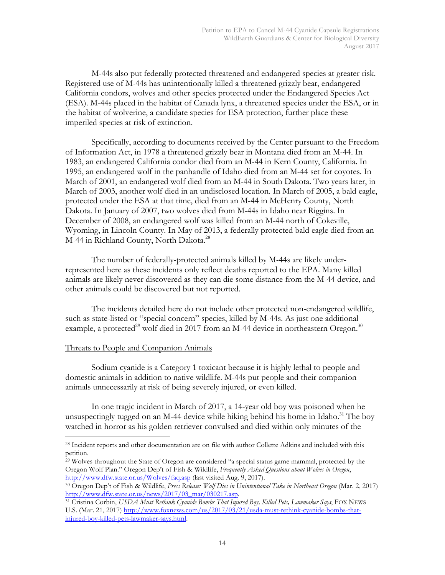M-44s also put federally protected threatened and endangered species at greater risk. Registered use of M-44s has unintentionally killed a threatened grizzly bear, endangered California condors, wolves and other species protected under the Endangered Species Act (ESA). M-44s placed in the habitat of Canada lynx, a threatened species under the ESA, or in the habitat of wolverine, a candidate species for ESA protection, further place these imperiled species at risk of extinction.

Specifically, according to documents received by the Center pursuant to the Freedom of Information Act, in 1978 a threatened grizzly bear in Montana died from an M-44. In 1983, an endangered California condor died from an M-44 in Kern County, California. In 1995, an endangered wolf in the panhandle of Idaho died from an M-44 set for coyotes. In March of 2001, an endangered wolf died from an M-44 in South Dakota. Two years later, in March of 2003, another wolf died in an undisclosed location. In March of 2005, a bald eagle, protected under the ESA at that time, died from an M-44 in McHenry County, North Dakota. In January of 2007, two wolves died from M-44s in Idaho near Riggins. In December of 2008, an endangered wolf was killed from an M-44 north of Cokeville, Wyoming, in Lincoln County. In May of 2013, a federally protected bald eagle died from an M-44 in Richland County, North Dakota.<sup>28</sup>

The number of federally-protected animals killed by M-44s are likely underrepresented here as these incidents only reflect deaths reported to the EPA. Many killed animals are likely never discovered as they can die some distance from the M-44 device, and other animals could be discovered but not reported.

The incidents detailed here do not include other protected non-endangered wildlife, such as state-listed or "special concern" species, killed by M-44s. As just one additional example, a protected<sup>29</sup> wolf died in 2017 from an M-44 device in northeastern Oregon.<sup>30</sup>

## Threats to People and Companion Animals

Sodium cyanide is a Category 1 toxicant because it is highly lethal to people and domestic animals in addition to native wildlife. M-44s put people and their companion animals unnecessarily at risk of being severely injured, or even killed.

In one tragic incident in March of 2017, a 14-year old boy was poisoned when he unsuspectingly tugged on an M-44 device while hiking behind his home in Idaho.<sup>31</sup> The boy watched in horror as his golden retriever convulsed and died within only minutes of the

<sup>31</sup> Cristina Corbin, *USDA Must Rethink Cyanide Bombs That Injured Boy, Killed Pets, Lawmaker Says*, FOX NEWS U.S. (Mar. 21, 2017) http://www.foxnews.com/us/2017/03/21/usda-must-rethink-cyanide-bombs-thatinjured-boy-killed-pets-lawmaker-says.html.

 <sup>28</sup> Incident reports and other documentation are on file with author Collette Adkins and included with this petition.

<sup>29</sup> Wolves throughout the State of Oregon are considered "a special status game mammal, protected by the Oregon Wolf Plan." Oregon Dep't of Fish & Wildlife, *Frequently Asked Questions about Wolves in Oregon*,

http://www.dfw.state.or.us/Wolves/faq.asp (last visited Aug. 9, 2017). 30 Oregon Dep't of Fish & Wildlife, *Press Release: Wolf Dies in Unintentional Take in Northeast Oregon* (Mar. 2, 2017) http://www.dfw.state.or.us/news/2017/03\_mar/030217.asp.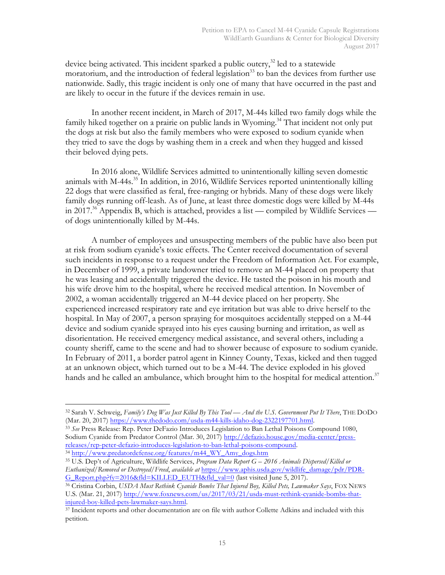device being activated. This incident sparked a public outcry, $3^2$  led to a statewide moratorium, and the introduction of federal legislation<sup>33</sup> to ban the devices from further use nationwide. Sadly, this tragic incident is only one of many that have occurred in the past and are likely to occur in the future if the devices remain in use.

In another recent incident, in March of 2017, M-44s killed two family dogs while the family hiked together on a prairie on public lands in Wyoming.<sup>34</sup> That incident not only put the dogs at risk but also the family members who were exposed to sodium cyanide when they tried to save the dogs by washing them in a creek and when they hugged and kissed their beloved dying pets.

In 2016 alone, Wildlife Services admitted to unintentionally killing seven domestic animals with  $M-44s$ <sup>35</sup> In addition, in 2016, Wildlife Services reported unintentionally killing 22 dogs that were classified as feral, free-ranging or hybrids. Many of these dogs were likely family dogs running off-leash. As of June, at least three domestic dogs were killed by M-44s in 2017.<sup>36</sup> Appendix B, which is attached, provides a list — compiled by Wildlife Services of dogs unintentionally killed by M-44s.

A number of employees and unsuspecting members of the public have also been put at risk from sodium cyanide's toxic effects. The Center received documentation of several such incidents in response to a request under the Freedom of Information Act. For example, in December of 1999, a private landowner tried to remove an M-44 placed on property that he was leasing and accidentally triggered the device. He tasted the poison in his mouth and his wife drove him to the hospital, where he received medical attention. In November of 2002, a woman accidentally triggered an M-44 device placed on her property. She experienced increased respiratory rate and eye irritation but was able to drive herself to the hospital. In May of 2007, a person spraying for mosquitoes accidentally stepped on a M-44 device and sodium cyanide sprayed into his eyes causing burning and irritation, as well as disorientation. He received emergency medical assistance, and several others, including a county sheriff, came to the scene and had to shower because of exposure to sodium cyanide. In February of 2011, a border patrol agent in Kinney County, Texas, kicked and then tugged at an unknown object, which turned out to be a M-44. The device exploded in his gloved hands and he called an ambulance, which brought him to the hospital for medical attention.<sup>37</sup>

 <sup>32</sup> Sarah V. Schweig, *Family's Dog Was Just Killed By This Tool –– And the U.S. Government Put It There*, THE DODO

<sup>&</sup>lt;sup>33</sup> See Press Release: Rep. Peter DeFazio Introduces Legislation to Ban Lethal Poisons Compound 1080, Sodium Cyanide from Predator Control (Mar. 30, 2017) http://defazio.house.gov/media-center/pressreleases/rep-peter-defazio-introduces-legislation-to-ban-lethal-poisons-compound. 34 http://www.predatordefense.org/features/m44\_WY\_Amy\_dogs.htm

<sup>35</sup> U.S. Dep't of Agriculture, Wildlife Services, *Program Data Report G – 2016 Animals Dispersed/Killed or Euthanized/Removed or Destroyed/Freed*, *available at* https://www.aphis.usda.gov/wildlife\_damage/pdr/PDR-G\_Report.php?fy=2016&fld=KILLED\_EUTH&fld\_val=0 (last visited June 5, 2017).

<sup>36</sup> Cristina Corbin, *USDA Must Rethink Cyanide Bombs That Injured Boy, Killed Pets, Lawmaker Says*, FOX NEWS U.S. (Mar. 21, 2017) http://www.foxnews.com/us/2017/03/21/usda-must-rethink-cyanide-bombs-thatinjured-boy-killed-pets-lawmaker-says.html.

<sup>37</sup> Incident reports and other documentation are on file with author Collette Adkins and included with this petition.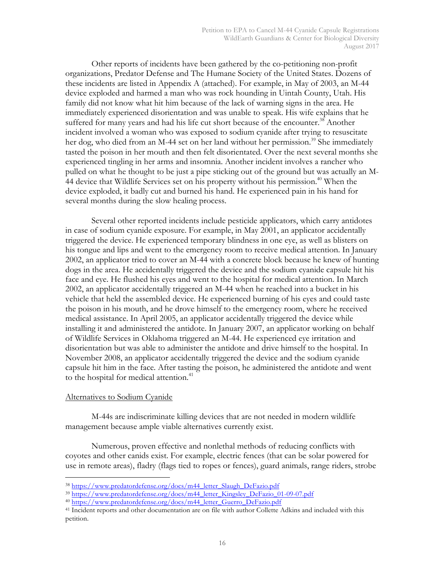Other reports of incidents have been gathered by the co-petitioning non-profit organizations, Predator Defense and The Humane Society of the United States. Dozens of these incidents are listed in Appendix A (attached). For example, in May of 2003, an M-44 device exploded and harmed a man who was rock hounding in Uintah County, Utah. His family did not know what hit him because of the lack of warning signs in the area. He immediately experienced disorientation and was unable to speak. His wife explains that he suffered for many years and had his life cut short because of the encounter.<sup>38</sup> Another incident involved a woman who was exposed to sodium cyanide after trying to resuscitate her dog, who died from an M-44 set on her land without her permission.<sup>39</sup> She immediately tasted the poison in her mouth and then felt disorientated. Over the next several months she experienced tingling in her arms and insomnia. Another incident involves a rancher who pulled on what he thought to be just a pipe sticking out of the ground but was actually an M-44 device that Wildlife Services set on his property without his permission.<sup>40</sup> When the device exploded, it badly cut and burned his hand. He experienced pain in his hand for several months during the slow healing process.

Several other reported incidents include pesticide applicators, which carry antidotes in case of sodium cyanide exposure. For example, in May 2001, an applicator accidentally triggered the device. He experienced temporary blindness in one eye, as well as blisters on his tongue and lips and went to the emergency room to receive medical attention. In January 2002, an applicator tried to cover an M-44 with a concrete block because he knew of hunting dogs in the area. He accidentally triggered the device and the sodium cyanide capsule hit his face and eye. He flushed his eyes and went to the hospital for medical attention. In March 2002, an applicator accidentally triggered an M-44 when he reached into a bucket in his vehicle that held the assembled device. He experienced burning of his eyes and could taste the poison in his mouth, and he drove himself to the emergency room, where he received medical assistance. In April 2005, an applicator accidentally triggered the device while installing it and administered the antidote. In January 2007, an applicator working on behalf of Wildlife Services in Oklahoma triggered an M-44. He experienced eye irritation and disorientation but was able to administer the antidote and drive himself to the hospital. In November 2008, an applicator accidentally triggered the device and the sodium cyanide capsule hit him in the face. After tasting the poison, he administered the antidote and went to the hospital for medical attention.<sup>41</sup>

#### Alternatives to Sodium Cyanide

M-44s are indiscriminate killing devices that are not needed in modern wildlife management because ample viable alternatives currently exist.

Numerous, proven effective and nonlethal methods of reducing conflicts with coyotes and other canids exist. For example, electric fences (that can be solar powered for use in remote areas), fladry (flags tied to ropes or fences), guard animals, range riders, strobe

 <sup>38</sup> https://www.predatordefense.org/docs/m44\_letter\_Slaugh\_DeFazio.pdf

<sup>&</sup>lt;sup>39</sup> https://www.predatordefense.org/docs/m44\_letter\_Kingsley\_DeFazio\_01-09-07.pdf

<sup>&</sup>lt;sup>40</sup> https://www.predatordefense.org/docs/m44\_letter\_Guerro\_DeFazio.pdf

<sup>41</sup> Incident reports and other documentation are on file with author Collette Adkins and included with this petition.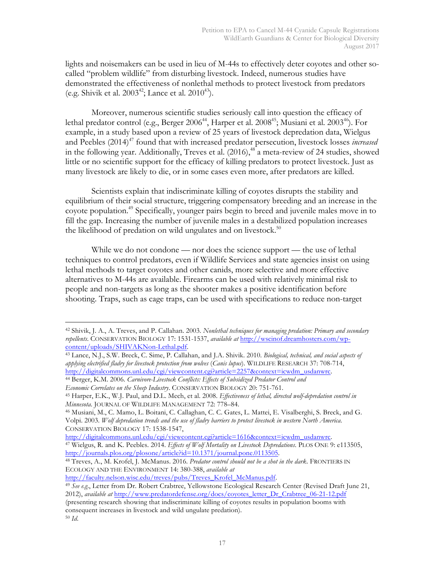lights and noisemakers can be used in lieu of M-44s to effectively deter coyotes and other socalled "problem wildlife" from disturbing livestock. Indeed, numerous studies have demonstrated the effectiveness of nonlethal methods to protect livestock from predators (e.g. Shivik et al.  $2003^{42}$ ; Lance et al.  $2010^{43}$ ).

Moreover, numerous scientific studies seriously call into question the efficacy of lethal predator control (e.g., Berger 2006<sup>44</sup>, Harper et al. 2008<sup>45</sup>; Musiani et al. 2003<sup>46</sup>). For example, in a study based upon a review of 25 years of livestock depredation data, Wielgus and Peebles (2014)<sup>47</sup> found that with increased predator persecution, livestock losses *increased* in the following year. Additionally, Treves et al.  $(2016)$ ,  $48^{\circ}$  a meta-review of 24 studies, showed little or no scientific support for the efficacy of killing predators to protect livestock. Just as many livestock are likely to die, or in some cases even more, after predators are killed.

Scientists explain that indiscriminate killing of coyotes disrupts the stability and equilibrium of their social structure, triggering compensatory breeding and an increase in the coyote population.<sup>49</sup> Specifically, younger pairs begin to breed and juvenile males move in to fill the gap. Increasing the number of juvenile males in a destabilized population increases the likelihood of predation on wild ungulates and on livestock.<sup>50</sup>

While we do not condone — nor does the science support — the use of lethal techniques to control predators, even if Wildlife Services and state agencies insist on using lethal methods to target coyotes and other canids, more selective and more effective alternatives to M-44s are available. Firearms can be used with relatively minimal risk to people and non-targets as long as the shooter makes a positive identification before shooting. Traps, such as cage traps, can be used with specifications to reduce non-target

*Economic Correlates on the Sheep Industry*. CONSERVATION BIOLOGY 20: 751-761.

http://digitalcommons.unl.edu/cgi/viewcontent.cgi?article=1616&context=icwdm\_usdanwrc.

 <sup>42</sup> Shivik, J. A., A. Treves, and P. Callahan. 2003. *Nonlethal techniques for managing predation: Primary and secondary repellents*. CONSERVATION BIOLOGY 17: 1531-1537, *available at* http://wscinof.dreamhosters.com/wpcontent/uploads/SHIVAKNon-Lethal.pdf.

<sup>43</sup> Lance, N.J., S.W. Breck, C. Sime, P. Callahan, and J.A. Shivik. 2010. *Biological, technical, and social aspects of applying electrified fladry for livestock protection from wolves* (*Canis lupus*). WILDLIFE RESEARCH 37: 708-714, http://digitalcommons.unl.edu/cgi/viewcontent.cgi?article=2257&context=icwdm\_usdanwrc.

<sup>44</sup> Berger, K.M. 2006. *Carnivore-Livestock Conflicts: Effects of Subsidized Predator Control and*

<sup>45</sup> Harper, E.K., W.J. Paul, and D.L. Mech, et al. 2008. *Effectiveness of lethal, directed wolf-depredation control in Minnesota*. JOURNAL OF WILDLIFE MANAGEMENT 72: 778–84.

<sup>46</sup> Musiani, M., C. Mamo, L. Boitani, C. Callaghan, C. C. Gates, L. Mattei, E. Visalberghi, S. Breck, and G. Volpi. 2003. *Wolf depredation trends and the use of fladry barriers to protect livestock in western North America*. CONSERVATION BIOLOGY 17: 1538-1547,

<sup>47</sup> Wielgus, R. and K. Peebles. 2014. *Effects of Wolf Mortality on Livestock Depredations*. PLOS ONE 9: e113505, http://journals.plos.org/plosone/article?id=10.1371/journal.pone.0113505.

<sup>48</sup> Treves, A., M. Krofel, J. McManus. 2016. *Predator control should not be a shot in the dark*. FRONTIERS IN ECOLOGY AND THE ENVIRONMENT 14: 380-388, *available at*

http://faculty.nelson.wisc.edu/treves/pubs/Treves\_Krofel\_McManus.pdf.

<sup>49</sup> *See e.g*., Letter from Dr. Robert Crabtree, Yellowstone Ecological Research Center (Revised Draft June 21, 2012), *available at* http://www.predatordefense.org/docs/coyotes\_letter\_Dr\_Crabtree\_06-21-12.pdf

<sup>(</sup>presenting research showing that indiscriminate killing of coyotes results in population booms with consequent increases in livestock and wild ungulate predation).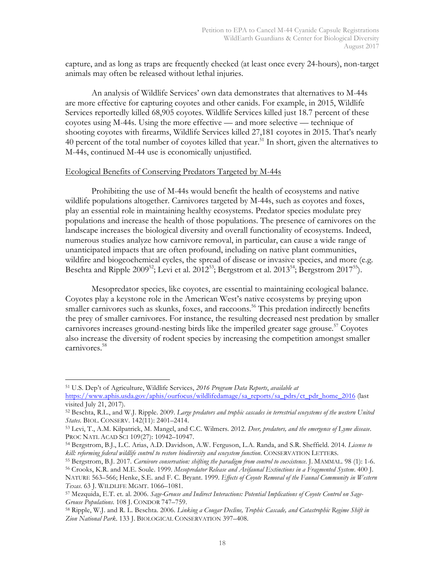capture, and as long as traps are frequently checked (at least once every 24-hours), non-target animals may often be released without lethal injuries.

An analysis of Wildlife Services' own data demonstrates that alternatives to M-44s are more effective for capturing coyotes and other canids. For example, in 2015, Wildlife Services reportedly killed 68,905 coyotes. Wildlife Services killed just 18.7 percent of these coyotes using M-44s. Using the more effective — and more selective –– technique of shooting coyotes with firearms, Wildlife Services killed 27,181 coyotes in 2015. That's nearly 40 percent of the total number of coyotes killed that year.<sup>51</sup> In short, given the alternatives to M-44s, continued M-44 use is economically unjustified.

#### Ecological Benefits of Conserving Predators Targeted by M-44s

Prohibiting the use of M-44s would benefit the health of ecosystems and native wildlife populations altogether. Carnivores targeted by M-44s, such as coyotes and foxes, play an essential role in maintaining healthy ecosystems. Predator species modulate prey populations and increase the health of those populations. The presence of carnivores on the landscape increases the biological diversity and overall functionality of ecosystems. Indeed, numerous studies analyze how carnivore removal, in particular, can cause a wide range of unanticipated impacts that are often profound, including on native plant communities, wildfire and biogeochemical cycles, the spread of disease or invasive species, and more (e.g. Beschta and Ripple 2009<sup>52</sup>; Levi et al. 2012<sup>53</sup>; Bergstrom et al. 2013<sup>54</sup>; Bergstrom 2017<sup>55</sup>).

Mesopredator species, like coyotes, are essential to maintaining ecological balance. Coyotes play a keystone role in the American West's native ecosystems by preying upon smaller carnivores such as skunks, foxes, and raccoons.<sup>56</sup> This predation indirectly benefits the prey of smaller carnivores. For instance, the resulting decreased nest predation by smaller carnivores increases ground-nesting birds like the imperiled greater sage grouse.<sup>57</sup> Coyotes also increase the diversity of rodent species by increasing the competition amongst smaller carnivores.<sup>58</sup>

 <sup>51</sup> U.S. Dep't of Agriculture, Wildlife Services, *2016 Program Data Reports*, *available at*

https://www.aphis.usda.gov/aphis/ourfocus/wildlifedamage/sa\_reports/sa\_pdrs/ct\_pdr\_home\_2016 (last visited July 21, 2017).

<sup>52</sup> Beschta, R.L., and W.J. Ripple. 2009. *Large predators and trophic cascades in terrestrial ecosystems of the western United States*. BIOL. CONSERV. 142(11): 2401–2414.

<sup>53</sup> Levi, T., A.M. Kilpatrick, M. Mangel, and C.C. Wilmers. 2012. *Deer, predators, and the emergence of Lyme disease*. PROC NATL ACAD SCI 109(27): 10942–10947.

<sup>54</sup> Bergstrom, B.J., L.C. Arias, A.D. Davidson, A.W. Ferguson, L.A. Randa, and S.R. Sheffield. 2014. *License to kill: reforming federal wildlife control to restore biodiversity and ecosystem function*. CONSERVATION LETTERS.

<sup>55</sup> Bergstrom, B.J. 2017. *Carnivore conservation: shifting the paradigm from control to coexistence*. J. MAMMAL. 98 (1): 1-6.

<sup>56</sup> Crooks, K.R. and M.E. Soule. 1999. *Mesopredator Release and Avifaunal Extinctions in a Fragmented System*. 400 J. NATURE 563–566; Henke, S.E. and F. C. Bryant. 1999. *Effects of Coyote Removal of the Faunal Community in Western Texas*. 63 J. WILDLIFE MGMT. 1066–1081.

<sup>57</sup> Mezquida, E.T. et. al. 2006. *Sage-Grouse and Indirect Interactions: Potential Implications of Coyote Control on Sage-Grouse Populations*. 108 J. CONDOR 747–759.

<sup>58</sup> Ripple, W.J. and R. L. Beschta. 2006. *Linking a Cougar Decline, Trophic Cascade, and Catastrophic Regime Shift in Zion National Park*. 133 J. BIOLOGICAL CONSERVATION 397–408.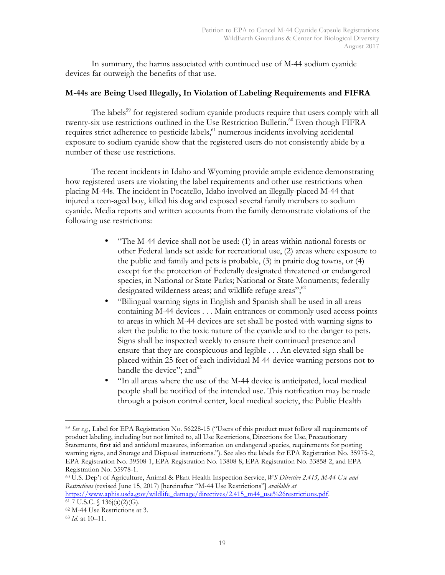In summary, the harms associated with continued use of M-44 sodium cyanide devices far outweigh the benefits of that use.

## **M-44s are Being Used Illegally, In Violation of Labeling Requirements and FIFRA**

The labels<sup>59</sup> for registered sodium cyanide products require that users comply with all twenty-six use restrictions outlined in the Use Restriction Bulletin. <sup>60</sup> Even though FIFRA requires strict adherence to pesticide labels,<sup>61</sup> numerous incidents involving accidental exposure to sodium cyanide show that the registered users do not consistently abide by a number of these use restrictions.

The recent incidents in Idaho and Wyoming provide ample evidence demonstrating how registered users are violating the label requirements and other use restrictions when placing M-44s. The incident in Pocatello, Idaho involved an illegally-placed M-44 that injured a teen-aged boy, killed his dog and exposed several family members to sodium cyanide. Media reports and written accounts from the family demonstrate violations of the following use restrictions:

- "The M-44 device shall not be used: (1) in areas within national forests or other Federal lands set aside for recreational use, (2) areas where exposure to the public and family and pets is probable, (3) in prairie dog towns, or (4) except for the protection of Federally designated threatened or endangered species, in National or State Parks; National or State Monuments; federally designated wilderness areas; and wildlife refuge areas"; $62$
- "Bilingual warning signs in English and Spanish shall be used in all areas containing M-44 devices . . . Main entrances or commonly used access points to areas in which M-44 devices are set shall be posted with warning signs to alert the public to the toxic nature of the cyanide and to the danger to pets. Signs shall be inspected weekly to ensure their continued presence and ensure that they are conspicuous and legible . . . An elevated sign shall be placed within 25 feet of each individual M-44 device warning persons not to handle the device"; and  $63$
- "In all areas where the use of the M-44 device is anticipated, local medical people shall be notified of the intended use. This notification may be made through a poison control center, local medical society, the Public Health

<sup>60</sup> U.S. Dep't of Agriculture, Animal & Plant Health Inspection Service, *WS Directive 2.415, M-44 Use and Restrictions* (revised June 15, 2017) [hereinafter "M-44 Use Restrictions"] *available at*  https://www.aphis.usda.gov/wildlife\_damage/directives/2.415\_m44\_use%26restrictions.pdf. 61 7 U.S.C.  $\{ 136j(a)(2)(G).$ 

 <sup>59</sup> *See e.g.,* Label for EPA Registration No. 56228-15 ("Users of this product must follow all requirements of product labeling, including but not limited to, all Use Restrictions, Directions for Use, Precautionary Statements, first aid and antidotal measures, information on endangered species, requirements for posting warning signs, and Storage and Disposal instructions."). See also the labels for EPA Registration No. 35975-2, EPA Registration No. 39508-1, EPA Registration No. 13808-8, EPA Registration No. 33858-2, and EPA Registration No. 35978-1.

<sup>62</sup> M-44 Use Restrictions at 3.

<sup>63</sup> *Id*. at 10–11.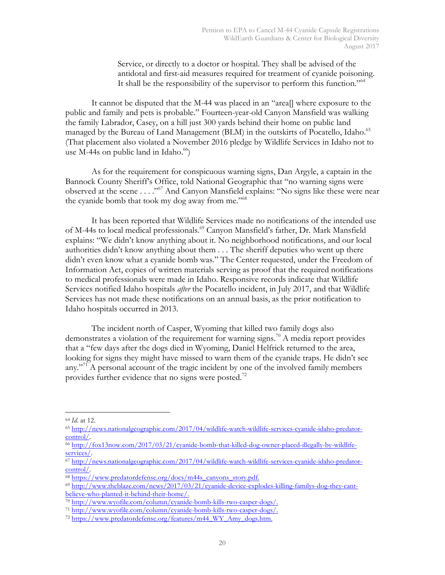Service, or directly to a doctor or hospital. They shall be advised of the antidotal and first-aid measures required for treatment of cyanide poisoning. It shall be the responsibility of the supervisor to perform this function."<sup>64</sup>

It cannot be disputed that the M-44 was placed in an "area[] where exposure to the public and family and pets is probable." Fourteen-year-old Canyon Mansfield was walking the family Labrador, Casey, on a hill just 300 yards behind their home on public land managed by the Bureau of Land Management (BLM) in the outskirts of Pocatello, Idaho.<sup>65</sup> (That placement also violated a November 2016 pledge by Wildlife Services in Idaho not to use M-44s on public land in Idaho. $^{66}$ )

As for the requirement for conspicuous warning signs, Dan Argyle, a captain in the Bannock County Sheriff's Office, told National Geographic that "no warning signs were observed at the scene . . . ."67 And Canyon Mansfield explains: "No signs like these were near the cyanide bomb that took my dog away from me."<sup>68</sup>

It has been reported that Wildlife Services made no notifications of the intended use of M-44s to local medical professionals.<sup>69</sup> Canyon Mansfield's father, Dr. Mark Mansfield explains: "We didn't know anything about it. No neighborhood notifications, and our local authorities didn't know anything about them . . . The sheriff deputies who went up there didn't even know what a cyanide bomb was." The Center requested, under the Freedom of Information Act, copies of written materials serving as proof that the required notifications to medical professionals were made in Idaho. Responsive records indicate that Wildlife Services notified Idaho hospitals *after* the Pocatello incident, in July 2017, and that Wildlife Services has not made these notifications on an annual basis, as the prior notification to Idaho hospitals occurred in 2013.

The incident north of Casper, Wyoming that killed two family dogs also demonstrates a violation of the requirement for warning signs.<sup>70</sup> A media report provides that a "few days after the dogs died in Wyoming, Daniel Helfrick returned to the area, looking for signs they might have missed to warn them of the cyanide traps. He didn't see any."<sup>71</sup> A personal account of the tragic incident by one of the involved family members provides further evidence that no signs were posted.<sup>72</sup>

 <sup>64</sup> *Id*. at 12.

<sup>65</sup> http://news.nationalgeographic.com/2017/04/wildlife-watch-wildlife-services-cyanide-idaho-predatorcontrol/.

<sup>66</sup> http://fox13now.com/2017/03/21/cyanide-bomb-that-killed-dog-owner-placed-illegally-by-wildlifeservices/.

<sup>67</sup> http://news.nationalgeographic.com/2017/04/wildlife-watch-wildlife-services-cyanide-idaho-predatorcontrol/.

<sup>68</sup> https://www.predatordefense.org/docs/m44s\_canyons\_story.pdf.

<sup>69</sup> http://www.theblaze.com/news/2017/03/21/cyanide-device-explodes-killing-familys-dog-they-cantbelieve-who-planted-it-behind-their-home/.

 $\frac{70 \text{ http://www.wyofile.com/colum}/cyanide-bomb-kills-two-casper-dogs/100}$ 

<sup>71</sup> http://www.wyofile.com/column/cyanide-bomb-kills-two-casper-dogs/.

<sup>72</sup> https://www.predatordefense.org/features/m44\_WY\_Amy\_dogs.htm.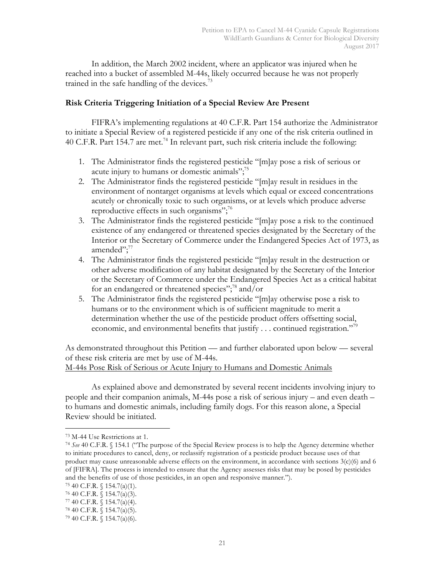In addition, the March 2002 incident, where an applicator was injured when he reached into a bucket of assembled M-44s, likely occurred because he was not properly trained in the safe handling of the devices.<sup>73</sup>

## **Risk Criteria Triggering Initiation of a Special Review Are Present**

FIFRA's implementing regulations at 40 C.F.R. Part 154 authorize the Administrator to initiate a Special Review of a registered pesticide if any one of the risk criteria outlined in 40 C.F.R. Part 154.7 are met.<sup>74</sup> In relevant part, such risk criteria include the following:

- 1. The Administrator finds the registered pesticide "[m]ay pose a risk of serious or acute injury to humans or domestic animals";<sup>75</sup>
- 2. The Administrator finds the registered pesticide "[m]ay result in residues in the environment of nontarget organisms at levels which equal or exceed concentrations acutely or chronically toxic to such organisms, or at levels which produce adverse reproductive effects in such organisms";<sup>76</sup>
- 3. The Administrator finds the registered pesticide "[m]ay pose a risk to the continued existence of any endangered or threatened species designated by the Secretary of the Interior or the Secretary of Commerce under the Endangered Species Act of 1973, as amended";<sup>77</sup>
- 4. The Administrator finds the registered pesticide "[m]ay result in the destruction or other adverse modification of any habitat designated by the Secretary of the Interior or the Secretary of Commerce under the Endangered Species Act as a critical habitat for an endangered or threatened species";<sup>78</sup> and/or
- 5. The Administrator finds the registered pesticide "[m]ay otherwise pose a risk to humans or to the environment which is of sufficient magnitude to merit a determination whether the use of the pesticide product offers offsetting social, economic, and environmental benefits that justify  $\dots$  continued registration."<sup>79</sup>

As demonstrated throughout this Petition — and further elaborated upon below — several of these risk criteria are met by use of M-44s.

M-44s Pose Risk of Serious or Acute Injury to Humans and Domestic Animals

As explained above and demonstrated by several recent incidents involving injury to people and their companion animals, M-44s pose a risk of serious injury – and even death – to humans and domestic animals, including family dogs. For this reason alone, a Special Review should be initiated.

 <sup>73</sup> M-44 Use Restrictions at 1.

<sup>74</sup> *See* 40 C.F.R. § 154.1 ("The purpose of the Special Review process is to help the Agency determine whether to initiate procedures to cancel, deny, or reclassify registration of a pesticide product because uses of that product may cause unreasonable adverse effects on the environment, in accordance with sections  $3(c)(6)$  and 6 of [FIFRA]. The process is intended to ensure that the Agency assesses risks that may be posed by pesticides and the benefits of use of those pesticides, in an open and responsive manner.").

<sup>75</sup> 40 C.F.R. § 154.7(a)(1).

 $76$  40 C.F.R. § 154.7(a)(3).

<sup>77</sup> 40 C.F.R. § 154.7(a)(4).

<sup>78</sup> 40 C.F.R. § 154.7(a)(5).

<sup>79</sup> 40 C.F.R. § 154.7(a)(6).